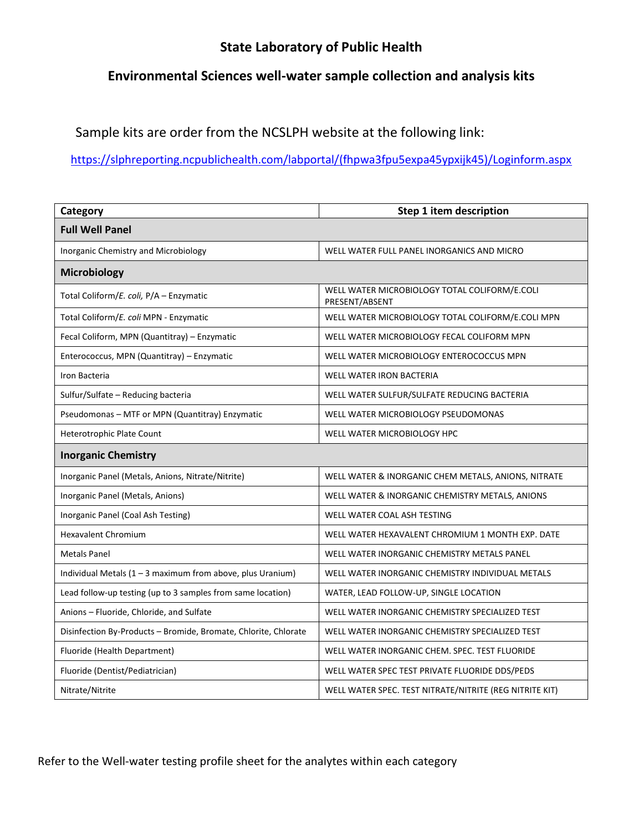## **State Laboratory of Public Health**

## **Environmental Sciences well-water sample collection and analysis kits**

Sample kits are order from the NCSLPH website at the following link:

[https://slphreporting.ncpublichealth.com/labportal/\(fhpwa3fpu5expa45ypxijk45\)/Loginform.aspx](https://slphreporting.ncpublichealth.com/labportal/(fhpwa3fpu5expa45ypxijk45)/Loginform.aspx)

| Category                                                        | Step 1 item description                                         |
|-----------------------------------------------------------------|-----------------------------------------------------------------|
| <b>Full Well Panel</b>                                          |                                                                 |
| Inorganic Chemistry and Microbiology                            | WELL WATER FULL PANEL INORGANICS AND MICRO                      |
| Microbiology                                                    |                                                                 |
| Total Coliform/E. coli, P/A - Enzymatic                         | WELL WATER MICROBIOLOGY TOTAL COLIFORM/E.COLI<br>PRESENT/ABSENT |
| Total Coliform/E. coli MPN - Enzymatic                          | WELL WATER MICROBIOLOGY TOTAL COLIFORM/E.COLI MPN               |
| Fecal Coliform, MPN (Quantitray) - Enzymatic                    | WELL WATER MICROBIOLOGY FECAL COLIFORM MPN                      |
| Enterococcus, MPN (Quantitray) - Enzymatic                      | WELL WATER MICROBIOLOGY ENTEROCOCCUS MPN                        |
| Iron Bacteria                                                   | <b>WELL WATER IRON BACTERIA</b>                                 |
| Sulfur/Sulfate - Reducing bacteria                              | WELL WATER SULFUR/SULFATE REDUCING BACTERIA                     |
| Pseudomonas - MTF or MPN (Quantitray) Enzymatic                 | WELL WATER MICROBIOLOGY PSEUDOMONAS                             |
| Heterotrophic Plate Count                                       | WELL WATER MICROBIOLOGY HPC                                     |
| <b>Inorganic Chemistry</b>                                      |                                                                 |
| Inorganic Panel (Metals, Anions, Nitrate/Nitrite)               | WELL WATER & INORGANIC CHEM METALS, ANIONS, NITRATE             |
| Inorganic Panel (Metals, Anions)                                | WELL WATER & INORGANIC CHEMISTRY METALS, ANIONS                 |
| Inorganic Panel (Coal Ash Testing)                              | WELL WATER COAL ASH TESTING                                     |
| <b>Hexavalent Chromium</b>                                      | WELL WATER HEXAVALENT CHROMIUM 1 MONTH EXP. DATE                |
| <b>Metals Panel</b>                                             | WELL WATER INORGANIC CHEMISTRY METALS PANEL                     |
| Individual Metals (1 - 3 maximum from above, plus Uranium)      | WELL WATER INORGANIC CHEMISTRY INDIVIDUAL METALS                |
| Lead follow-up testing (up to 3 samples from same location)     | WATER, LEAD FOLLOW-UP, SINGLE LOCATION                          |
| Anions - Fluoride, Chloride, and Sulfate                        | WELL WATER INORGANIC CHEMISTRY SPECIALIZED TEST                 |
| Disinfection By-Products - Bromide, Bromate, Chlorite, Chlorate | WELL WATER INORGANIC CHEMISTRY SPECIALIZED TEST                 |
| Fluoride (Health Department)                                    | WELL WATER INORGANIC CHEM. SPEC. TEST FLUORIDE                  |
| Fluoride (Dentist/Pediatrician)                                 | WELL WATER SPEC TEST PRIVATE FLUORIDE DDS/PEDS                  |
| Nitrate/Nitrite                                                 | WELL WATER SPEC. TEST NITRATE/NITRITE (REG NITRITE KIT)         |

Refer to the Well-water testing profile sheet for the analytes within each category